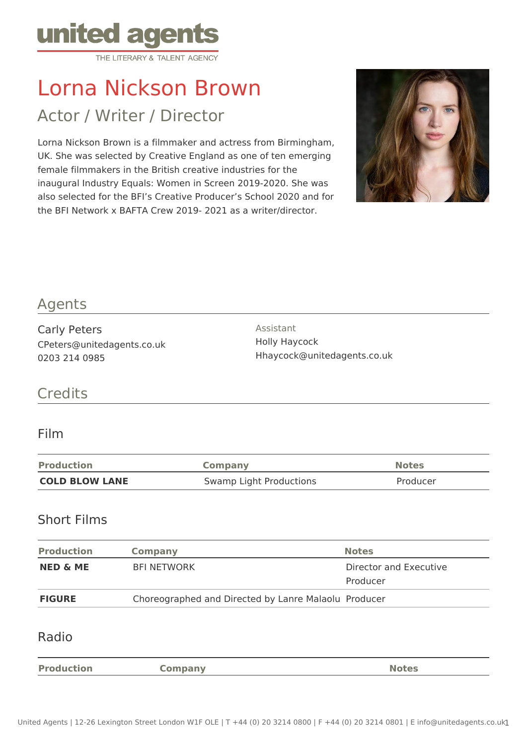

# Lorna Nickson Brown

# Actor / Writer / Director

Lorna Nickson Brown is a filmmaker and actress from Birmingham, UK. She was selected by Creative England as one of ten emerging female filmmakers in the British creative industries for the inaugural Industry Equals: Women in Screen 2019-2020. She was also selected for the BFI's Creative Producer's School 2020 and for the BFI Network x BAFTA Crew 2019- 2021 as a writer/director.



# Agents

Carly Peters CPeters@unitedagents.co.uk 0203 214 0985

Assistant Holly Haycock Hhaycock@unitedagents.co.uk

# **Credits**

#### Film

| <b>Production</b>     | Company                 | <b>Notes</b> |
|-----------------------|-------------------------|--------------|
| <b>COLD BLOW LANE</b> | Swamp Light Productions | Producer     |

#### Short Films

| <b>Production</b>   | Company                                              | <b>Notes</b>                       |
|---------------------|------------------------------------------------------|------------------------------------|
| <b>NED &amp; ME</b> | <b>BFI NETWORK</b>                                   | Director and Executive<br>Producer |
| <b>FIGURE</b>       | Choreographed and Directed by Lanre Malaolu Producer |                                    |

#### Radio

**Production <b>Company Company Notes Notes** 

United Agents | 12-26 Lexington Street London W1F OLE | T +44 (0) 20 3214 0800 | F +44 (0) 20 3214 0801 | E info@unitedagents.co.uk1